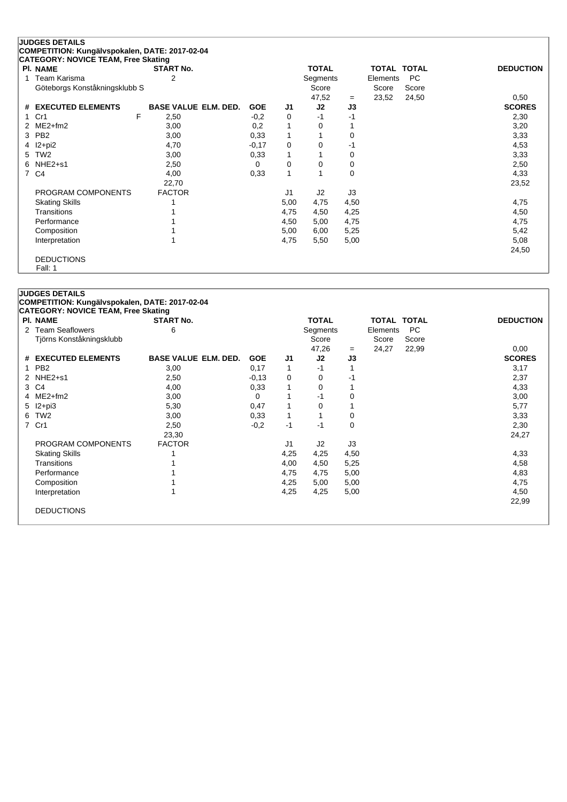|                | <b>JUDGES DETAILS</b>                          |                             |            |      |              |             |                    |           |                  |
|----------------|------------------------------------------------|-----------------------------|------------|------|--------------|-------------|--------------------|-----------|------------------|
|                | COMPETITION: Kungälvspokalen, DATE: 2017-02-04 |                             |            |      |              |             |                    |           |                  |
|                | <b>CATEGORY: NOVICE TEAM, Free Skating</b>     |                             |            |      |              |             |                    |           |                  |
|                | <b>PI. NAME</b>                                | <b>START No.</b>            |            |      | <b>TOTAL</b> |             | <b>TOTAL TOTAL</b> |           | <b>DEDUCTION</b> |
|                | Team Karisma                                   | 2                           |            |      | Segments     |             | Elements           | <b>PC</b> |                  |
|                | Göteborgs Konståkningsklubb S                  |                             |            |      | Score        |             | Score              | Score     |                  |
|                |                                                |                             |            |      | 47,52        | $=$         | 23,52              | 24,50     | 0,50             |
| #              | <b>EXECUTED ELEMENTS</b>                       | <b>BASE VALUE ELM. DED.</b> | <b>GOE</b> | J1   | J2           | J3          |                    |           | <b>SCORES</b>    |
|                | F<br>Cr1                                       | 2,50                        | $-0,2$     | 0    | $-1$         | -1          |                    |           | 2,30             |
|                | $ME2+fm2$                                      | 3,00                        | 0,2        | 1    | 0            |             |                    |           | 3,20             |
| 3              | PB <sub>2</sub>                                | 3,00                        | 0,33       | 1    |              | 0           |                    |           | 3,33             |
| 4              | l2+pi2                                         | 4,70                        | $-0,17$    | 0    | 0            | -1          |                    |           | 4,53             |
| 5              | TW <sub>2</sub>                                | 3,00                        | 0,33       | 1    |              | 0           |                    |           | 3,33             |
| 6              | $NHE2+51$                                      | 2,50                        | 0          | 0    | 0            | 0           |                    |           | 2,50             |
| $\overline{7}$ | C4                                             | 4,00                        | 0,33       | 1    |              | $\mathbf 0$ |                    |           | 4,33             |
|                |                                                | 22,70                       |            |      |              |             |                    |           | 23,52            |
|                | PROGRAM COMPONENTS                             | <b>FACTOR</b>               |            | J1   | J2           | J3          |                    |           |                  |
|                | <b>Skating Skills</b>                          |                             |            | 5,00 | 4,75         | 4,50        |                    |           | 4,75             |
|                | <b>Transitions</b>                             |                             |            | 4,75 | 4,50         | 4,25        |                    |           | 4,50             |
|                | Performance                                    |                             |            | 4,50 | 5,00         | 4,75        |                    |           | 4,75             |
|                | Composition                                    |                             |            | 5,00 | 6,00         | 5,25        |                    |           | 5,42             |
|                | Interpretation                                 |                             |            | 4,75 | 5,50         | 5,00        |                    |           | 5,08             |
|                |                                                |                             |            |      |              |             |                    |           | 24,50            |
|                | <b>DEDUCTIONS</b>                              |                             |            |      |              |             |                    |           |                  |
|                | Fall: 1                                        |                             |            |      |              |             |                    |           |                  |

## **JUDGES DETAILS**

**COMPETITION: Kungälvspokalen, DATE: 2017-02-04**

| <b>PI. NAME</b>          | <b>START No.</b>            |            |              | <b>TOTAL</b> |      | <b>TOTAL TOTAL</b> |       | <b>DEDUCTION</b> |
|--------------------------|-----------------------------|------------|--------------|--------------|------|--------------------|-------|------------------|
| 2 Team Seaflowers        | 6                           |            |              | Segments     |      | Elements           | PC.   |                  |
| Tjörns Konståkningsklubb |                             |            |              | Score        |      | Score              | Score |                  |
|                          |                             |            |              | 47,26        | $=$  | 24,27              | 22,99 | 0,00             |
| # EXECUTED ELEMENTS      | <b>BASE VALUE ELM. DED.</b> | <b>GOE</b> | J1           | J2           | J3   |                    |       | <b>SCORES</b>    |
| 1 PB2                    | 3,00                        | 0,17       | 1            | $-1$         |      |                    |       | 3,17             |
| 2 NHE2+s1                | 2,50                        | $-0.13$    | 0            | 0            | -1   |                    |       | 2,37             |
| 3 C4                     | 4,00                        | 0,33       | $\mathbf{1}$ | 0            |      |                    |       | 4,33             |
| 4 ME2+fm2                | 3,00                        | 0          | 1            | $-1$         | 0    |                    |       | 3,00             |
| 5 I2+pi3                 | 5,30                        | 0,47       | $\mathbf{1}$ | 0            |      |                    |       | 5,77             |
| 6 TW2                    | 3,00                        | 0,33       | 1            | 1            | 0    |                    |       | 3,33             |
| 7 Cr1                    | 2,50                        | $-0,2$     | -1           | $-1$         | 0    |                    |       | 2,30             |
|                          | 23,30                       |            |              |              |      |                    |       | 24,27            |
| PROGRAM COMPONENTS       | <b>FACTOR</b>               |            | J1           | J2           | J3   |                    |       |                  |
| <b>Skating Skills</b>    |                             |            | 4,25         | 4,25         | 4,50 |                    |       | 4,33             |
| Transitions              |                             |            | 4,00         | 4,50         | 5,25 |                    |       | 4,58             |
| Performance              |                             |            | 4,75         | 4,75         | 5,00 |                    |       | 4,83             |
| Composition              |                             |            | 4,25         | 5,00         | 5,00 |                    |       | 4,75             |
| Interpretation           |                             |            | 4,25         | 4,25         | 5,00 |                    |       | 4,50             |
|                          |                             |            |              |              |      |                    |       | 22,99            |
| <b>DEDUCTIONS</b>        |                             |            |              |              |      |                    |       |                  |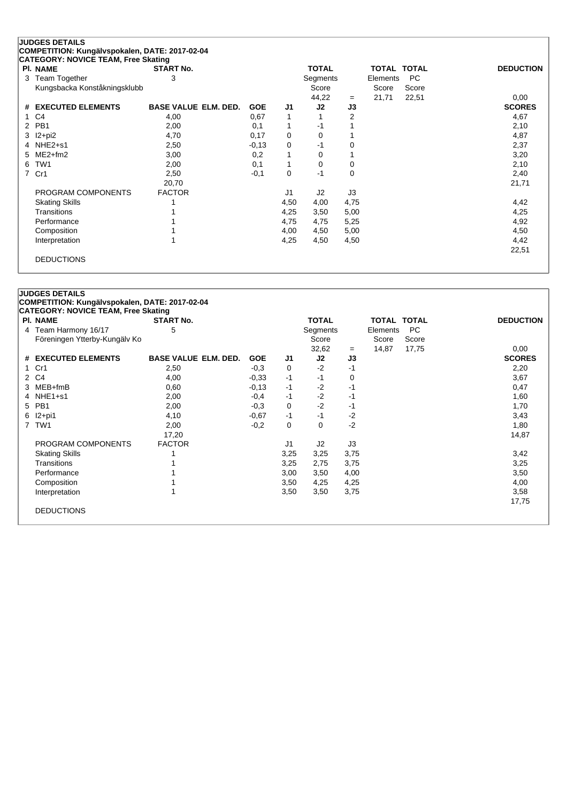| <b>PI. NAME</b>               | <b>START No.</b>            |            |          | <b>TOTAL</b>   |          | <b>TOTAL TOTAL</b> |           | <b>DEDUCTION</b> |
|-------------------------------|-----------------------------|------------|----------|----------------|----------|--------------------|-----------|------------------|
| Team Together<br>3            | 3                           |            |          | Segments       |          | Elements           | <b>PC</b> |                  |
| Kungsbacka Konståkningsklubb  |                             |            |          | Score          |          | Score              | Score     |                  |
|                               |                             |            |          | 44,22          | $=$      | 21,71              | 22,51     | 0,00             |
| <b>EXECUTED ELEMENTS</b><br># | <b>BASE VALUE ELM. DED.</b> | <b>GOE</b> | J1       | J2             | J3       |                    |           | <b>SCORES</b>    |
| C <sub>4</sub>                | 4,00                        | 0,67       |          |                | 2        |                    |           | 4,67             |
| PB <sub>1</sub>               | 2,00                        | 0,1        |          | -1             |          |                    |           | 2,10             |
| $12 + pi2$<br>3               | 4,70                        | 0,17       | 0        | 0              |          |                    |           | 4,87             |
| $NHE2+51$<br>4                | 2,50                        | $-0,13$    | 0        | -1             | $\Omega$ |                    |           | 2,37             |
| $ME2+fm2$<br>5                | 3,00                        | 0,2        |          | 0              |          |                    |           | 3,20             |
| TW <sub>1</sub><br>6          | 2,00                        | 0,1        |          | 0              | 0        |                    |           | 2,10             |
| Cr1<br>$\overline{7}$         | 2,50                        | $-0,1$     | $\Omega$ | -1             | $\Omega$ |                    |           | 2,40             |
|                               | 20,70                       |            |          |                |          |                    |           | 21,71            |
| PROGRAM COMPONENTS            | <b>FACTOR</b>               |            | J1       | J <sub>2</sub> | J3       |                    |           |                  |
| <b>Skating Skills</b>         |                             |            | 4,50     | 4,00           | 4,75     |                    |           | 4,42             |
| Transitions                   |                             |            | 4,25     | 3,50           | 5,00     |                    |           | 4,25             |
| Performance                   |                             |            | 4,75     | 4,75           | 5,25     |                    |           | 4,92             |
| Composition                   |                             |            | 4,00     | 4,50           | 5,00     |                    |           | 4,50             |
| Interpretation                |                             |            | 4,25     | 4,50           | 4,50     |                    |           | 4,42             |
|                               |                             |            |          |                |          |                    |           | 22,51            |

## **JUDGES DETAILS COMPETITION: Kungälvspokalen, DATE: 2017-02-04**

ı

| <b>PI. NAME</b>               | <b>START No.</b>            |            |      | <b>TOTAL</b> |      | <b>TOTAL TOTAL</b> |       | <b>DEDUCTION</b> |
|-------------------------------|-----------------------------|------------|------|--------------|------|--------------------|-------|------------------|
| 4 Team Harmony 16/17          | 5                           |            |      | Segments     |      | Elements           | PC.   |                  |
| Föreningen Ytterby-Kungälv Ko |                             |            |      | Score        |      | Score              | Score |                  |
|                               |                             |            |      | 32,62        | $=$  | 14,87              | 17,75 | 0,00             |
| # EXECUTED ELEMENTS           | <b>BASE VALUE ELM. DED.</b> | <b>GOE</b> | J1   | J2           | J3   |                    |       | <b>SCORES</b>    |
| 1 Cr1                         | 2,50                        | $-0.3$     | 0    | $-2$         | $-1$ |                    |       | 2,20             |
| 2 C4                          | 4,00                        | $-0,33$    | $-1$ | $-1$         | 0    |                    |       | 3,67             |
| 3 MEB+fmB                     | 0,60                        | $-0,13$    | -1   | $-2$         | -1   |                    |       | 0,47             |
| 4 NHE1+s1                     | 2,00                        | $-0,4$     | -1   | $-2$         | -1   |                    |       | 1,60             |
| 5 PB1                         | 2,00                        | $-0,3$     | 0    | $-2$         | -1   |                    |       | 1,70             |
| 6 I2+pi1                      | 4,10                        | $-0.67$    | -1   | $-1$         | $-2$ |                    |       | 3,43             |
| 7 TW1                         | 2,00                        | $-0,2$     | 0    | $\mathbf 0$  | $-2$ |                    |       | 1,80             |
|                               | 17,20                       |            |      |              |      |                    |       | 14,87            |
| PROGRAM COMPONENTS            | <b>FACTOR</b>               |            | J1   | J2           | J3   |                    |       |                  |
| <b>Skating Skills</b>         |                             |            | 3,25 | 3,25         | 3,75 |                    |       | 3,42             |
| Transitions                   |                             |            | 3,25 | 2,75         | 3,75 |                    |       | 3,25             |
| Performance                   |                             |            | 3,00 | 3,50         | 4,00 |                    |       | 3,50             |
| Composition                   |                             |            | 3,50 | 4,25         | 4,25 |                    |       | 4,00             |
| Interpretation                |                             |            | 3,50 | 3,50         | 3,75 |                    |       | 3,58             |
|                               |                             |            |      |              |      |                    |       | 17,75            |
| <b>DEDUCTIONS</b>             |                             |            |      |              |      |                    |       |                  |